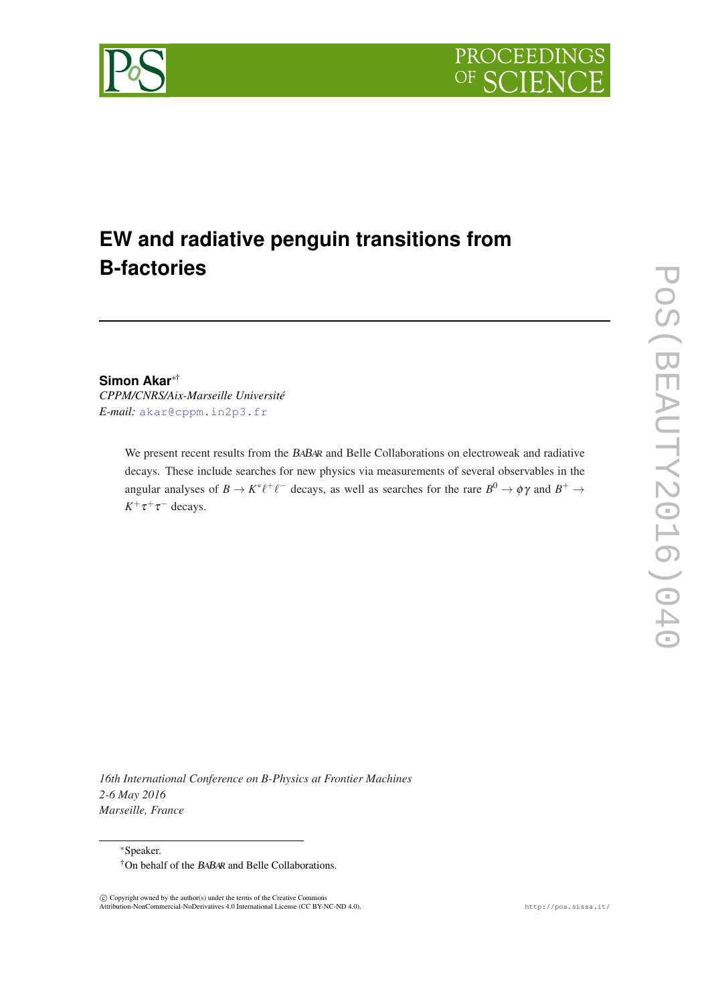



# **EW and radiative penguin transitions from B-factories**

### **Simon Akar**∗† *CPPM/CNRS/Aix-Marseille Université*

*E-mail:* [akar@cppm.in2p3.fr](mailto:akar@cppm.in2p3.fr)

We present recent results from the BABAR and Belle Collaborations on electroweak and radiative decays. These include searches for new physics via measurements of several observables in the angular analyses of  $B \to K^* \ell^+ \ell^-$  decays, as well as searches for the rare  $B^0 \to \phi \gamma$  and  $B^+ \to$  $K^+\tau^+\tau^-$  decays.

*16th International Conference on B-Physics at Frontier Machines 2-6 May 2016 Marseille, France*

<sup>∗</sup>Speaker. †On behalf of the BABAR and Belle Collaborations.

 c Copyright owned by the author(s) under the terms of the Creative Commons Attribution-NonCommercial-NoDerivatives 4.0 International License (CC BY-NC-ND 4.0). http://pos.sissa.it/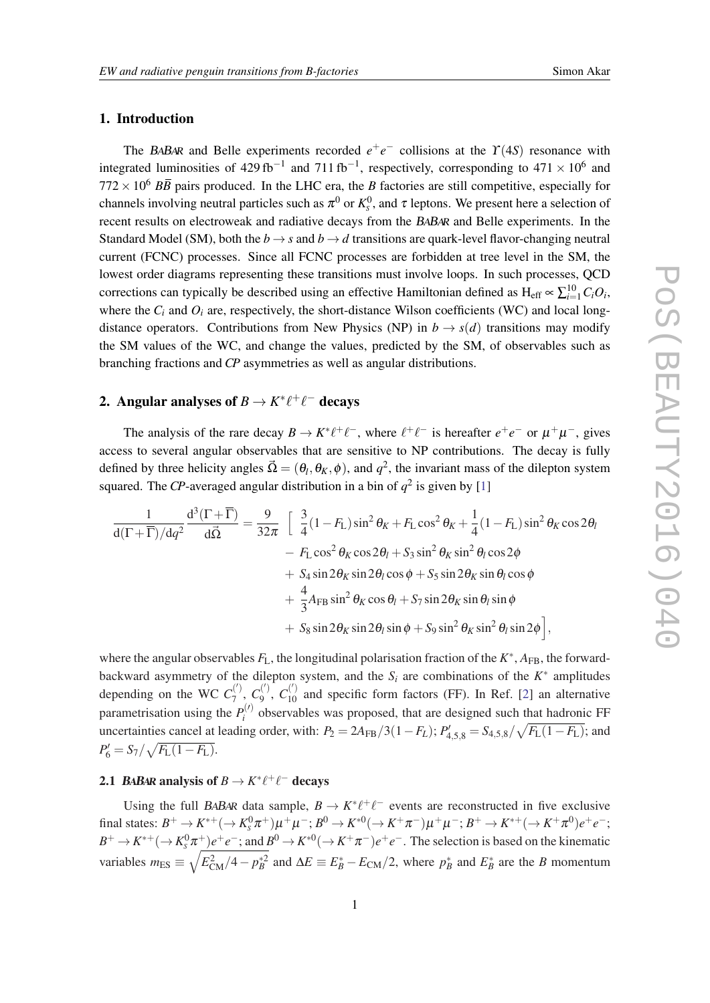### <span id="page-1-0"></span>1. Introduction

The BABAR and Belle experiments recorded  $e^+e^-$  collisions at the  $\Upsilon(4S)$  resonance with integrated luminosities of 429 fb<sup>-1</sup> and 711 fb<sup>-1</sup>, respectively, corresponding to  $471 \times 10^6$  and  $772 \times 10^6$  *BB* pairs produced. In the LHC era, the *B* factories are still competitive, especially for channels involving neutral particles such as  $\pi^0$  or  $K_s^0$ , and  $\tau$  leptons. We present here a selection of recent results on electroweak and radiative decays from the BABAR and Belle experiments. In the Standard Model (SM), both the  $b \rightarrow s$  and  $b \rightarrow d$  transitions are quark-level flavor-changing neutral current (FCNC) processes. Since all FCNC processes are forbidden at tree level in the SM, the lowest order diagrams representing these transitions must involve loops. In such processes, QCD corrections can typically be described using an effective Hamiltonian defined as  $H_{eff} \propto \sum_{i=1}^{10} C_i O_i$ , where the  $C_i$  and  $O_i$  are, respectively, the short-distance Wilson coefficients (WC) and local longdistance operators. Contributions from New Physics (NP) in  $b \rightarrow s(d)$  transitions may modify the SM values of the WC, and change the values, predicted by the SM, of observables such as branching fractions and *CP* asymmetries as well as angular distributions.

# 2. Angular analyses of  $B \to K^* \ell^+ \ell^-$  decays

The analysis of the rare decay  $B \to K^* \ell^+ \ell^-$ , where  $\ell^+ \ell^-$  is hereafter  $e^+ e^-$  or  $\mu^+ \mu^-$ , gives access to several angular observables that are sensitive to NP contributions. The decay is fully defined by three helicity angles  $\vec{\Omega} = (\theta_l, \theta_K, \phi)$ , and  $q^2$ , the invariant mass of the dilepton system squared. The *CP*-averaged angular distribution in a bin of  $q^2$  is given by [[1](#page-6-0)]

$$
\frac{1}{d(\Gamma+\overline{\Gamma})/dq^2}\frac{d^3(\Gamma+\overline{\Gamma})}{d\overline{\Omega}} = \frac{9}{32\pi} \left[ \frac{3}{4}(1-F_L)\sin^2\theta_K + F_L\cos^2\theta_K + \frac{1}{4}(1-F_L)\sin^2\theta_K\cos 2\theta_l - F_L\cos^2\theta_K\cos 2\theta_l + S_3\sin^2\theta_K\sin^2\theta_l\cos 2\phi + S_4\sin 2\theta_K\sin 2\theta_l\cos\phi + S_5\sin 2\theta_K\sin\theta_l\cos\phi + \frac{4}{3}A_{FB}\sin^2\theta_K\cos\theta_l + S_7\sin 2\theta_K\sin\theta_l\sin\phi + S_8\sin 2\theta_K\sin 2\theta_l\sin\phi + S_9\sin^2\theta_K\sin^2\theta_l\sin 2\phi \right],
$$

where the angular observables  $F_L$ , the longitudinal polarisation fraction of the  $K^*$ ,  $A_{FB}$ , the forwardbackward asymmetry of the dilepton system, and the  $S_i$  are combinations of the  $K^*$  amplitudes depending on the WC  $C_7^{(')}$  $C_7^{(')}, C_9^{(')}$  $C_9^{(')}$ ,  $C_{10}^{(')}$  and specific form factors (FF). In Ref. [\[2\]](#page-6-0) an alternative parametrisation using the  $P_i^{(l)}$  $i^{\prime\prime}$  observables was proposed, that are designed such that hadronic FF uncertainties cancel at leading order, with:  $P_2 = 2A_{FB}/3(1 - F_L)$ ;  $P'_{4,5,8} = S_{4,5,8}/\sqrt{F_L(1 - F_L)}$ ; and  $P'_6 = S_7/\sqrt{F_{\rm L}(1-F_{\rm L})}.$ 

### 2.1 *BABAR* analysis of  $B \to K^* \ell^+ \ell^-$  decays

Using the full BABAR data sample,  $B \to K^* \ell^+ \ell^-$  events are reconstructed in five exclusive  $\text{final states: } B^+ \to K^{*+}(\to K^0_S \pi^+) \mu^+ \mu^-; B^0 \to K^{*0}(\to K^+ \pi^-) \mu^+ \mu^-; B^+ \to K^{*+}(\to K^+ \pi^0) e^+ e^-;$  $B^+ \to K^{*+}(\to K^0_S \pi^+)e^+e^-$ ; and  $B^0 \to K^{*0}(\to K^+\pi^-)e^+e^-$ . The selection is based on the kinematic variables  $m_{ES} \equiv \sqrt{E_{CM}^2/4 - p_B^{*2}}$  and  $\Delta E \equiv E_B^* - E_{CM}/2$ , where  $p_B^*$  and  $E_B^*$  are the *B* momentum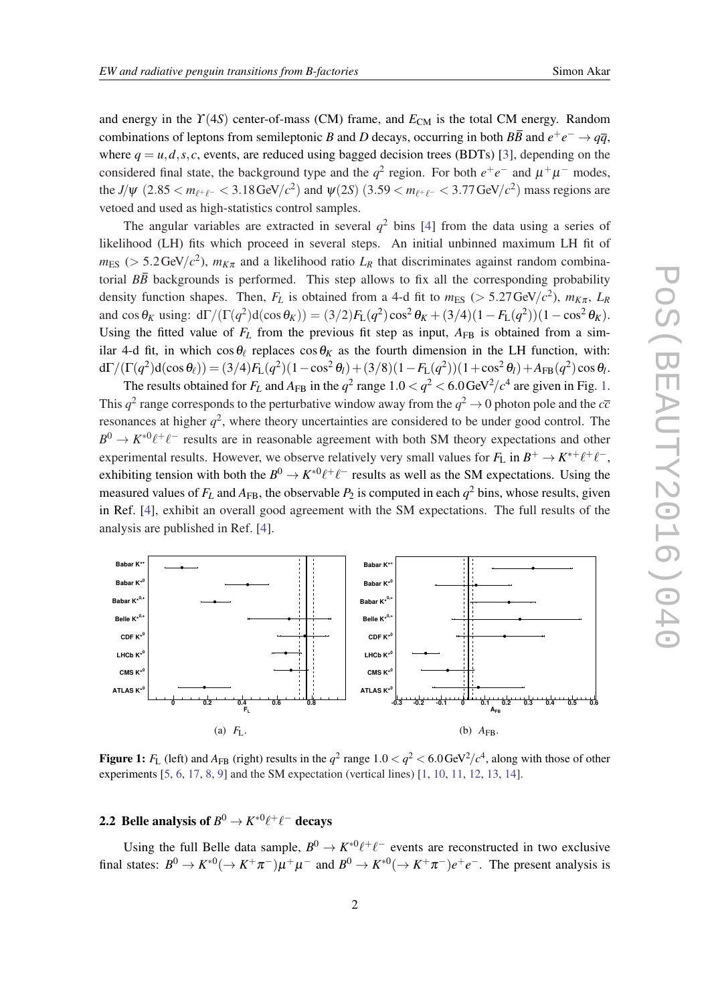and energy in the  $\Upsilon(4S)$  center-of-mass (CM) frame, and  $E<sub>CM</sub>$  is the total CM energy. Random combinations of leptons from semileptonic *B* and *D* decays, occurring in both  $B\overline{B}$  and  $e^+e^- \rightarrow q\overline{q}$ , where  $q = u, d, s, c$ , events, are reduced using bagged decision trees (BDTs) [[3](#page-6-0)], depending on the considered final state, the background type and the  $q^2$  region. For both  $e^+e^-$  and  $\mu^+\mu^-$  modes, the *J*/ $\psi$  (2.85 <  $m_{\ell^+\ell^-}$  < 3.18 GeV/ $c^2$ ) and  $\psi$ (2*S*) (3.59 <  $m_{\ell^+\ell^-}$  < 3.77 GeV/ $c^2$ ) mass regions are vetoed and used as high-statistics control samples.

The angular variables are extracted in several  $q^2$  bins [\[4\]](#page-6-0) from the data using a series of likelihood (LH) fits which proceed in several steps. An initial unbinned maximum LH fit of  $m_{ES}$  ( $> 5.2 \text{GeV}/c^2$ ),  $m_{K\pi}$  and a likelihood ratio  $L_R$  that discriminates against random combinatorial  $B\overline{B}$  backgrounds is performed. This step allows to fix all the corresponding probability density function shapes. Then,  $F_L$  is obtained from a 4-d fit to  $m_{ES}$  ( $> 5.27 \text{ GeV}/c^2$ ),  $m_{K\pi}$ ,  $L_R$ and  $\cos \theta_K$  using:  $d\Gamma/(\Gamma(q^2)d(\cos \theta_K)) = (3/2)F_L(q^2)\cos^2 \theta_K + (3/4)(1 - F_L(q^2))(1 - \cos^2 \theta_K)$ . Using the fitted value of  $F_L$  from the previous fit step as input,  $A_{FR}$  is obtained from a similar 4-d fit, in which  $\cos\theta_\ell$  replaces  $\cos\theta_K$  as the fourth dimension in the LH function, with:  $d\Gamma/(\Gamma(q^2)d(\cos\theta_\ell)) = (3/4)F_L(q^2)(1-\cos^2\theta_l)+(3/8)(1-F_L(q^2))(1+\cos^2\theta_l)+A_{\rm FB}(q^2)\cos\theta_l.$ 

The results obtained for  $F_L$  and  $A_{FB}$  in the  $q^2$  range  $1.0 < q^2 < 6.0$  GeV<sup>2</sup>/ $c^4$  are given in Fig. 1. This  $q^2$  range corresponds to the perturbative window away from the  $q^2 \to 0$  photon pole and the  $c\bar{c}$ resonances at higher  $q^2$ , where theory uncertainties are considered to be under good control. The  $B^0 \to K^{*0}\ell^+\ell^-$  results are in reasonable agreement with both SM theory expectations and other experimental results. However, we observe relatively very small values for  $F_L$  in  $B^+ \to K^{*+} \ell^+ \ell^-$ , exhibiting tension with both the  $B^0 \to K^{*0} \ell^+ \ell^-$  results as well as the SM expectations. Using the measured values of  $F_L$  and  $A_{FB}$ , the observable  $P_2$  is computed in each  $q^2$  bins, whose results, given in Ref. [\[4\]](#page-6-0), exhibit an overall good agreement with the SM expectations. The full results of the analysis are published in Ref. [\[4\]](#page-6-0).



Figure 1:  $F_L$  (left) and  $A_{FB}$  (right) results in the  $q^2$  range  $1.0 < q^2 < 6.0$  GeV<sup>2</sup>/ $c^4$ , along with those of other experiments [[5,](#page-6-0) [6,](#page-6-0) [17,](#page-6-0) [8,](#page-6-0) [9\]](#page-6-0) and the SM expectation (vertical lines) [\[1](#page-6-0), [10](#page-6-0), [11](#page-6-0), [12](#page-6-0), [13](#page-6-0), [14](#page-6-0)].

### 2.2 Belle analysis of  $B^0 \to K^{*0} \ell^+ \ell^-$  decays

Using the full Belle data sample,  $B^0 \to K^{*0}\ell^+\ell^-$  events are reconstructed in two exclusive final states:  $B^0 \to K^{*0}(\to K^+\pi^-)\mu^+\mu^-$  and  $B^0 \to K^{*0}(\to K^+\pi^-)e^+e^-$ . The present analysis is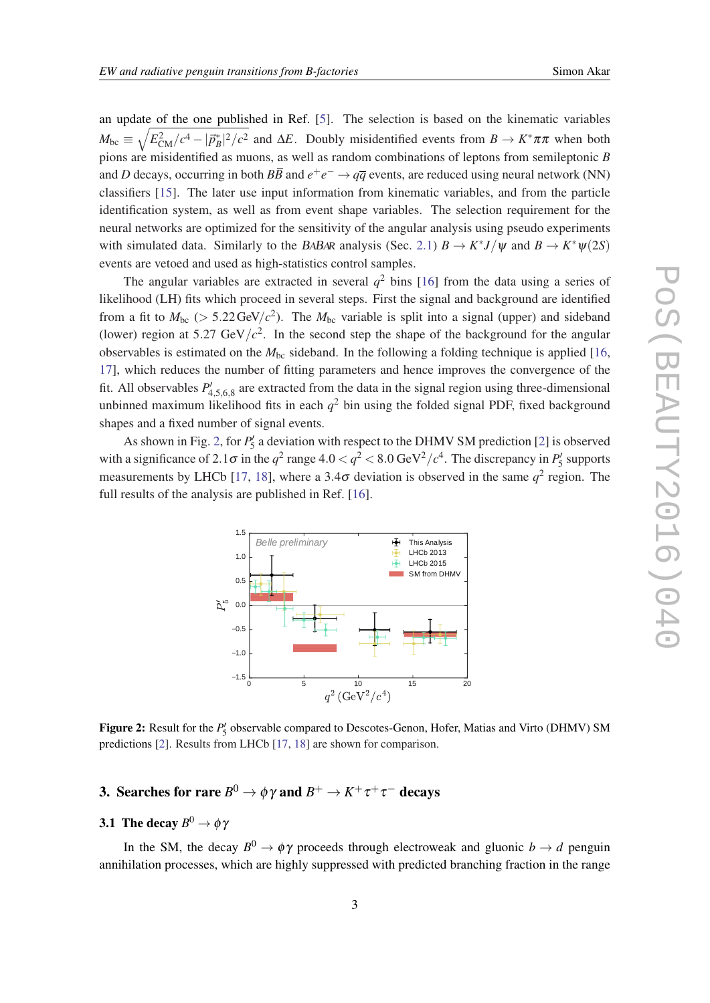an update of the one published in Ref. [\[5](#page-6-0)]. The selection is based on the kinematic variables  $M_{bc} \equiv \sqrt{E_{CM}^2/c^4 - |\vec{p}_B^*|^2/c^2}$  and  $\Delta E$ . Doubly misidentified events from  $B \to K^* \pi \pi$  when both pions are misidentified as muons, as well as random combinations of leptons from semileptonic *B* and *D* decays, occurring in both  $B\bar{B}$  and  $e^+e^- \to q\bar{q}$  events, are reduced using neural network (NN) classifiers [[15\]](#page-6-0). The later use input information from kinematic variables, and from the particle identification system, as well as from event shape variables. The selection requirement for the neural networks are optimized for the sensitivity of the angular analysis using pseudo experiments with simulated data. Similarly to the BABAR analysis (Sec. [2.1](#page-1-0))  $B \to K^* J/\psi$  and  $B \to K^* \psi(2S)$ events are vetoed and used as high-statistics control samples.

The angular variables are extracted in several  $q^2$  bins [\[16](#page-6-0)] from the data using a series of likelihood (LH) fits which proceed in several steps. First the signal and background are identified from a fit to  $M_{bc}$  ( $> 5.22 \text{ GeV}/c^2$ ). The  $M_{bc}$  variable is split into a signal (upper) and sideband (lower) region at 5.27 GeV/ $c^2$ . In the second step the shape of the background for the angular observables is estimated on the  $M_{bc}$  sideband. In the following a folding technique is applied [\[16](#page-6-0), [17](#page-6-0)], which reduces the number of fitting parameters and hence improves the convergence of the fit. All observables  $P'_{4,5,6,8}$  are extracted from the data in the signal region using three-dimensional unbinned maximum likelihood fits in each  $q^2$  bin using the folded signal PDF, fixed background shapes and a fixed number of signal events.

As shown in Fig. [2](#page-6-0), for  $P'_5$  a deviation with respect to the DHMV SM prediction [2] is observed with a significance of 2.1 $\sigma$  in the  $q^2$  range  $4.0 < q^2 < 8.0$  GeV<sup>2</sup>/ $c^4$ . The discrepancy in  $P'_5$  supports measurements by LHCb [[17,](#page-6-0) [18\]](#page-6-0), where a 3.4 $\sigma$  deviation is observed in the same  $q^2$  region. The full results of the analysis are published in Ref. [\[16](#page-6-0)].



Figure 2: Result for the  $P_5'$  observable compared to Descotes-Genon, Hofer, Matias and Virto (DHMV) SM predictions [\[2](#page-6-0)]. Results from LHCb [[17,](#page-6-0) [18\]](#page-6-0) are shown for comparison.

# 3. Searches for rare  $B^0 \to \phi \gamma$  and  $B^+ \to K^+ \tau^+ \tau^-$  decays

### **3.1** The decay  $B^0 \to \phi \gamma$

In the SM, the decay  $B^0 \to \phi \gamma$  proceeds through electroweak and gluonic  $b \to d$  penguin annihilation processes, which are highly suppressed with predicted branching fraction in the range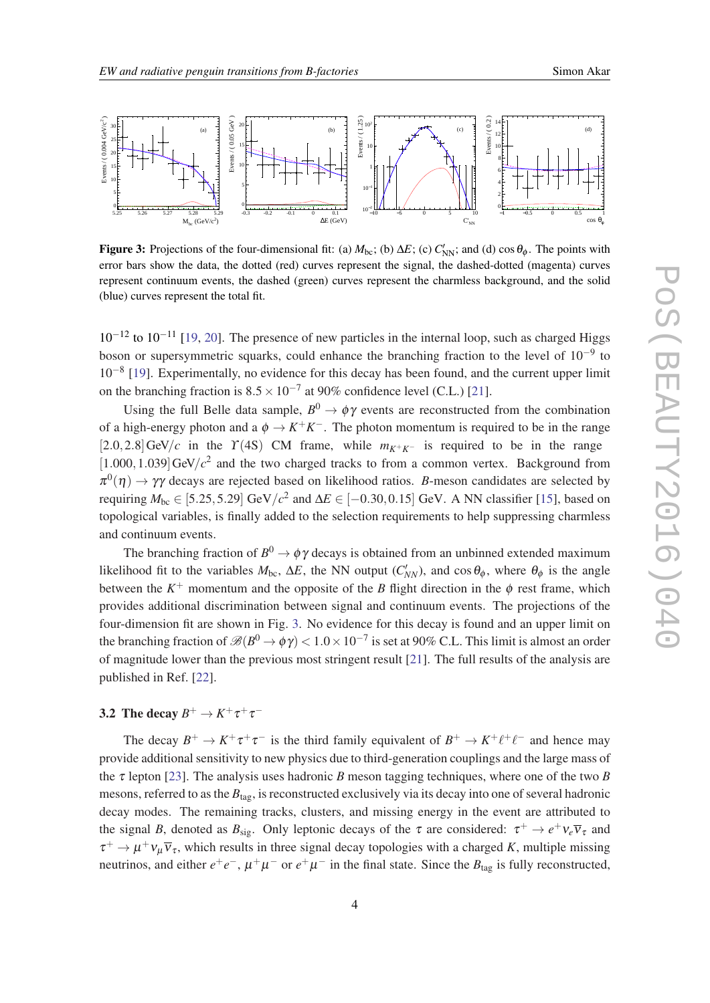

Figure 3: Projections of the four-dimensional fit: (a)  $M_{bc}$ ; (b)  $\Delta E$ ; (c)  $C'_{NN}$ ; and (d) cos $\theta_{\phi}$ . The points with error bars show the data, the dotted (red) curves represent the signal, the dashed-dotted (magenta) curves represent continuum events, the dashed (green) curves represent the charmless background, and the solid (blue) curves represent the total fit.

10−<sup>12</sup> to 10−<sup>11</sup> [\[19,](#page-6-0) [20](#page-6-0)]. The presence of new particles in the internal loop, such as charged Higgs boson or supersymmetric squarks, could enhance the branching fraction to the level of  $10^{-9}$  to 10<sup>-8</sup> [\[19](#page-6-0)]. Experimentally, no evidence for this decay has been found, and the current upper limit on the branching fraction is  $8.5 \times 10^{-7}$  at 90% confidence level (C.L.) [[21\]](#page-6-0).

Using the full Belle data sample,  $B^0 \to \phi \gamma$  events are reconstructed from the combination of a high-energy photon and a  $\phi \to K^+K^-$ . The photon momentum is required to be in the range [2.0,2.8]GeV/*c* in the  $\Upsilon$ (4S) CM frame, while  $m_{K^+K^-}$  is required to be in the range  $[1.000, 1.039]$  GeV/ $c<sup>2</sup>$  and the two charged tracks to from a common vertex. Background from  $\pi^0(\eta) \to \gamma \gamma$  decays are rejected based on likelihood ratios. *B*-meson candidates are selected by requiring  $M_{bc} \in [5.25, 5.29]$  GeV/ $c^2$  and  $\Delta E \in [-0.30, 0.15]$  GeV. A NN classifier [\[15\]](#page-6-0), based on topological variables, is finally added to the selection requirements to help suppressing charmless and continuum events.

The branching fraction of  $B^0 \to \phi \gamma$  decays is obtained from an unbinned extended maximum likelihood fit to the variables  $M_{bc}$ ,  $\Delta E$ , the NN output  $(C'_{NN})$ , and cos $\theta_{\phi}$ , where  $\theta_{\phi}$  is the angle between the  $K^+$  momentum and the opposite of the *B* flight direction in the  $\phi$  rest frame, which provides additional discrimination between signal and continuum events. The projections of the four-dimension fit are shown in Fig. 3. No evidence for this decay is found and an upper limit on the branching fraction of  $\mathscr{B}(B^0\to \phi\gamma)< 1.0\times 10^{-7}$  is set at 90% C.L. This limit is almost an order of magnitude lower than the previous most stringent result [[21\]](#page-6-0). The full results of the analysis are published in Ref. [[22](#page-6-0)].

## 3.2 The decay  $B^+ \to K^+ \tau^+ \tau^-$

The decay  $B^+ \to K^+ \tau^+ \tau^-$  is the third family equivalent of  $B^+ \to K^+ \ell^+ \ell^-$  and hence may provide additional sensitivity to new physics due to third-generation couplings and the large mass of the  $\tau$  lepton [\[23](#page-6-0)]. The analysis uses hadronic *B* meson tagging techniques, where one of the two *B* mesons, referred to as the  $B<sub>tar</sub>$ , is reconstructed exclusively via its decay into one of several hadronic decay modes. The remaining tracks, clusters, and missing energy in the event are attributed to the signal *B*, denoted as  $B_{sig}$ . Only leptonic decays of the  $\tau$  are considered:  $\tau^+ \to e^+ \nu_e \overline{\nu}_{\tau}$  and  $\tau^+ \to \mu^+ \nu_\mu \overline{\nu}_\tau$ , which results in three signal decay topologies with a charged *K*, multiple missing neutrinos, and either  $e^+e^-$ ,  $\mu^+\mu^-$  or  $e^+\mu^-$  in the final state. Since the  $B_{\text{tag}}$  is fully reconstructed,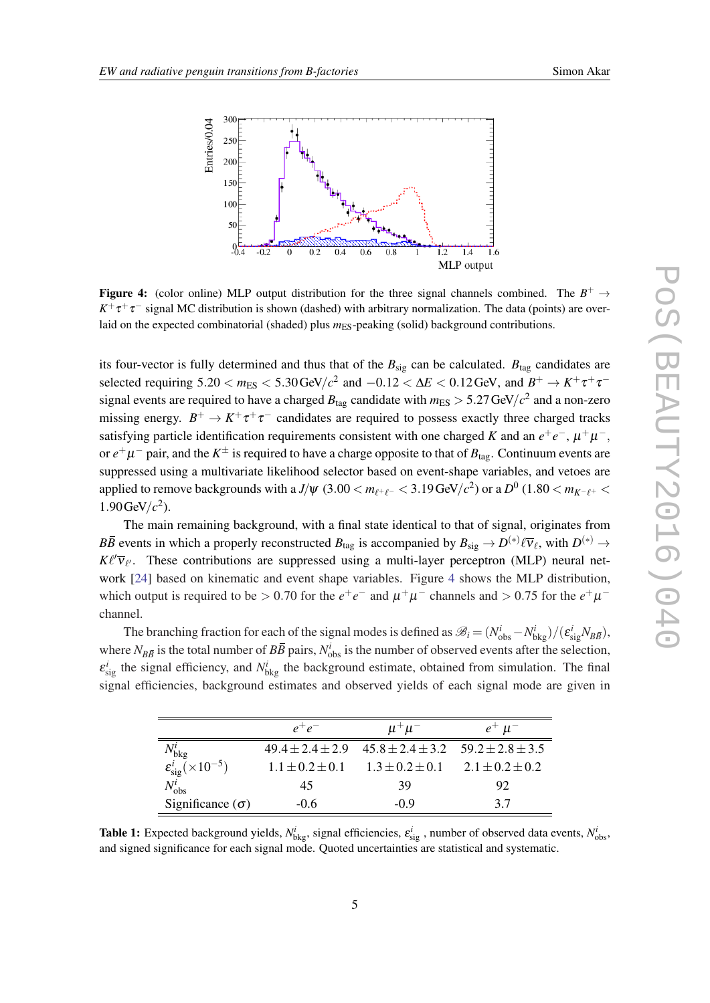<span id="page-5-0"></span>

Figure 4: (color online) MLP output distribution for the three signal channels combined. The  $B^+ \rightarrow$  $K^+\tau^+\tau^-$  signal MC distribution is shown (dashed) with arbitrary normalization. The data (points) are overlaid on the expected combinatorial (shaded) plus  $m_{ES}$ -peaking (solid) background contributions.

its four-vector is fully determined and thus that of the  $B_{\text{sig}}$  can be calculated.  $B_{\text{tag}}$  candidates are selected requiring  $5.20 < m_{ES} < 5.30$  GeV/ $c^2$  and  $-0.12 < \Delta E < 0.12$  GeV, and  $B^+ \to K^+ \tau^+ \tau^$ signal events are required to have a charged  $B_{\text{tag}}$  candidate with  $m_{\text{ES}} > 5.27\,\text{GeV}/c^2$  and a non-zero missing energy.  $B^+ \to K^+ \tau^+ \tau^-$  candidates are required to possess exactly three charged tracks satisfying particle identification requirements consistent with one charged *K* and an  $e^+e^-$ ,  $\mu^+\mu^-$ , or  $e^+\mu^-$  pair, and the  $K^\pm$  is required to have a charge opposite to that of  $B_{\text{tag}}$ . Continuum events are suppressed using a multivariate likelihood selector based on event-shape variables, and vetoes are applied to remove backgrounds with a *J*/ $\psi$  (3.00  $<$   $m_{\ell^+\ell^-}$   $<$  3.19 GeV/ $c^2$ ) or a  $D^0$  (1.80  $<$   $m_{K^-\ell^+}$   $<$ 1.90 GeV/ $c^2$ ).

The main remaining background, with a final state identical to that of signal, originates from *BB* events in which a properly reconstructed  $B_{\text{tag}}$  is accompanied by  $B_{\text{sig}} \to D^{(*)} \ell \overline{v}_\ell$ , with  $D^{(*)} \to$  $K\ell^{\prime}$  $\bar{v}_{\ell}$ . These contributions are suppressed using a multi-layer perceptron (MLP) neural network [[24\]](#page-6-0) based on kinematic and event shape variables. Figure 4 shows the MLP distribution, which output is required to be > 0.70 for the  $e^+e^-$  and  $\mu^+\mu^-$  channels and > 0.75 for the  $e^+\mu^$ channel.

The branching fraction for each of the signal modes is defined as  $\mathcal{B}_i = (N_{obs}^i - N_{bkg}^i) / (\varepsilon_{sig}^i N_{B\bar{B}})$ , where  $N_{B\bar{B}}$  is the total number of  $B\bar{B}$  pairs,  $N_{obs}^i$  is the number of observed events after the selection,  $\varepsilon_{\text{sig}}^i$  the signal efficiency, and  $N_{\text{bkg}}^i$  the background estimate, obtained from simulation. The final signal efficiencies, background estimates and observed yields of each signal mode are given in

|                                                                                                           | $\rho^{\top}\rho$     | $\mu^+\mu^-$                                                         | $e^+$ $\mu^-$         |
|-----------------------------------------------------------------------------------------------------------|-----------------------|----------------------------------------------------------------------|-----------------------|
|                                                                                                           |                       | $49.4 \pm 2.4 \pm 2.9$ $45.8 \pm 2.4 \pm 3.2$ $59.2 \pm 2.8 \pm 3.5$ |                       |
| $\frac{N_{\rm bkg}^i}{\varepsilon_{\rm sig}^i (\times 10^{-5})}$<br>$\frac{N_{\rm bkg}^i}{N_{\rm bkg}^i}$ | $1.1 \pm 0.2 \pm 0.1$ | $1.3 \pm 0.2 \pm 0.1$                                                | $2.1 \pm 0.2 \pm 0.2$ |
| $^{\prime}$ obs                                                                                           | 45                    | 39                                                                   | 92                    |
| Significance $(\sigma)$                                                                                   | $-0.6$                | $-0.9$                                                               | 37                    |

**Table 1:** Expected background yields,  $N_{bkg}^i$ , signal efficiencies,  $\epsilon_{sig}^i$ , number of observed data events,  $N_{bbs}^i$ , and signed significance for each signal mode. Quoted uncertainties are statistical and systematic.